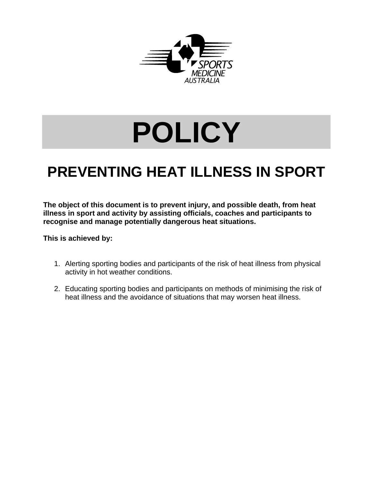

# **POLICY**

## **PREVENTING HEAT ILLNESS IN SPORT**

**The object of this document is to prevent injury, and possible death, from heat illness in sport and activity by assisting officials, coaches and participants to recognise and manage potentially dangerous heat situations.** 

**This is achieved by:** 

- 1. Alerting sporting bodies and participants of the risk of heat illness from physical activity in hot weather conditions.
- 2. Educating sporting bodies and participants on methods of minimising the risk of heat illness and the avoidance of situations that may worsen heat illness.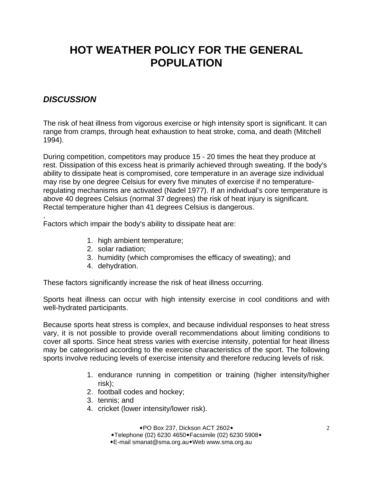## **HOT WEATHER POLICY FOR THE GENERAL POPULATION**

## *DISCUSSION*

,

The risk of heat illness from vigorous exercise or high intensity sport is significant. It can range from cramps, through heat exhaustion to heat stroke, coma, and death (Mitchell 1994).

During competition, competitors may produce 15 - 20 times the heat they produce at rest. Dissipation of this excess heat is primarily achieved through sweating. If the body's ability to dissipate heat is compromised, core temperature in an average size individual may rise by one degree Celsius for every five minutes of exercise if no temperatureregulating mechanisms are activated (Nadel 1977). If an individual's core temperature is above 40 degrees Celsius (normal 37 degrees) the risk of heat injury is significant. Rectal temperature higher than 41 degrees Celsius is dangerous.

Factors which impair the body's ability to dissipate heat are:

- 1. high ambient temperature;
- 2. solar radiation;
- 3. humidity (which compromises the efficacy of sweating); and
- 4. dehydration.

These factors significantly increase the risk of heat illness occurring.

Sports heat illness can occur with high intensity exercise in cool conditions and with well-hydrated participants.

Because sports heat stress is complex, and because individual responses to heat stress vary, it is not possible to provide overall recommendations about limiting conditions to cover all sports. Since heat stress varies with exercise intensity, potential for heat illness may be categorised according to the exercise characteristics of the sport. The following sports involve reducing levels of exercise intensity and therefore reducing levels of risk.

- 1. endurance running in competition or training (higher intensity/higher risk);
- 2. football codes and hockey;
- 3. tennis; and
- 4. cricket (lower intensity/lower risk).

◆PO Box 237, Dickson ACT 2602◆

+Telephone (02) 6230 4650+Facsimile (02) 6230 5908+

E-mail smanat@sma.org.auWeb www.sma.org.au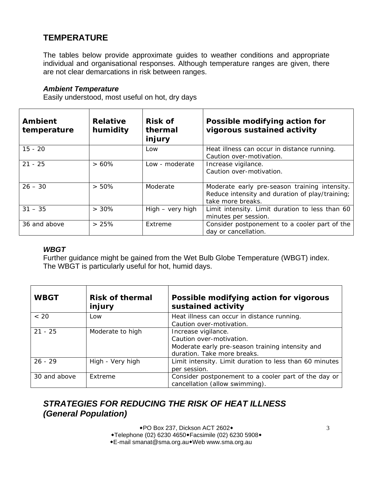## **TEMPERATURE**

The tables below provide approximate guides to weather conditions and appropriate individual and organisational responses. Although temperature ranges are given, there are not clear demarcations in risk between ranges.

#### *Ambient Temperature*

Easily understood, most useful on hot, dry days

| <b>Ambient</b><br>temperature | <b>Relative</b><br>humidity | <b>Risk of</b><br>thermal<br>injury | Possible modifying action for<br>vigorous sustained activity                                                          |
|-------------------------------|-----------------------------|-------------------------------------|-----------------------------------------------------------------------------------------------------------------------|
| $15 - 20$                     |                             | Low                                 | Heat illness can occur in distance running.<br>Caution over-motivation.                                               |
| $21 - 25$                     | $>60\%$                     | Low - moderate                      | Increase vigilance.<br>Caution over-motivation.                                                                       |
| $26 - 30$                     | $> 50\%$                    | Moderate                            | Moderate early pre-season training intensity.<br>Reduce intensity and duration of play/training;<br>take more breaks. |
| $31 - 35$                     | $> 30\%$                    | High – very high                    | Limit intensity. Limit duration to less than 60<br>minutes per session.                                               |
| 36 and above                  | >25%                        | Extreme                             | Consider postponement to a cooler part of the<br>day or cancellation.                                                 |

#### *WBGT*

Further guidance might be gained from the Wet Bulb Globe Temperature (WBGT) index. The WBGT is particularly useful for hot, humid days.

| <b>WBGT</b>  | <b>Risk of thermal</b><br>injury | Possible modifying action for vigorous<br>sustained activity                                                                       |
|--------------|----------------------------------|------------------------------------------------------------------------------------------------------------------------------------|
| < 20         | Low                              | Heat illness can occur in distance running.<br>Caution over-motivation.                                                            |
| $21 - 25$    | Moderate to high                 | Increase vigilance.<br>Caution over-motivation.<br>Moderate early pre-season training intensity and<br>duration. Take more breaks. |
| $26 - 29$    | High - Very high                 | Limit intensity. Limit duration to less than 60 minutes<br>per session.                                                            |
| 30 and above | Extreme                          | Consider postponement to a cooler part of the day or<br>cancellation (allow swimming).                                             |

## *STRATEGIES FOR REDUCING THE RISK OF HEAT ILLNESS (General Population)*

◆PO Box 237, Dickson ACT 2602◆ ◆Telephone (02) 6230 4650◆Facsimile (02) 6230 5908◆ E-mail smanat@sma.org.auWeb www.sma.org.au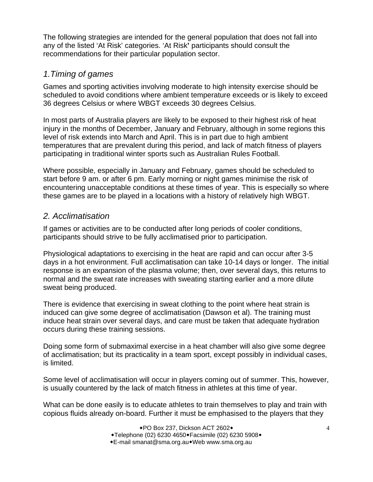The following strategies are intended for the general population that does not fall into any of the listed 'At Risk' categories. 'At Risk**'** participants should consult the recommendations for their particular population sector.

## *1.Timing of games*

Games and sporting activities involving moderate to high intensity exercise should be scheduled to avoid conditions where ambient temperature exceeds or is likely to exceed 36 degrees Celsius or where WBGT exceeds 30 degrees Celsius.

In most parts of Australia players are likely to be exposed to their highest risk of heat injury in the months of December, January and February, although in some regions this level of risk extends into March and April. This is in part due to high ambient temperatures that are prevalent during this period, and lack of match fitness of players participating in traditional winter sports such as Australian Rules Football.

Where possible, especially in January and February, games should be scheduled to start before 9 am. or after 6 pm. Early morning or night games minimise the risk of encountering unacceptable conditions at these times of year. This is especially so where these games are to be played in a locations with a history of relatively high WBGT.

## *2. Acclimatisation*

If games or activities are to be conducted after long periods of cooler conditions, participants should strive to be fully acclimatised prior to participation.

Physiological adaptations to exercising in the heat are rapid and can occur after 3-5 days in a hot environment. Full acclimatisation can take 10-14 days or longer. The initial response is an expansion of the plasma volume; then, over several days, this returns to normal and the sweat rate increases with sweating starting earlier and a more dilute sweat being produced.

There is evidence that exercising in sweat clothing to the point where heat strain is induced can give some degree of acclimatisation (Dawson et al). The training must induce heat strain over several days, and care must be taken that adequate hydration occurs during these training sessions.

Doing some form of submaximal exercise in a heat chamber will also give some degree of acclimatisation; but its practicality in a team sport, except possibly in individual cases, is limited.

Some level of acclimatisation will occur in players coming out of summer. This, however, is usually countered by the lack of match fitness in athletes at this time of year.

What can be done easily is to educate athletes to train themselves to play and train with copious fluids already on-board. Further it must be emphasised to the players that they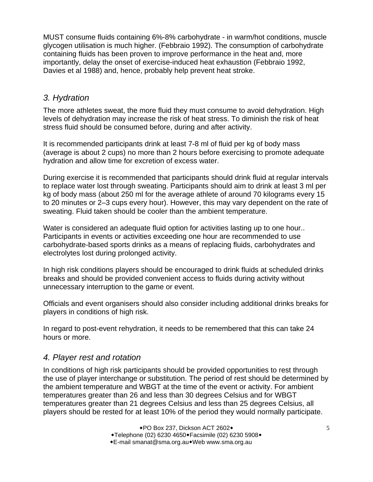MUST consume fluids containing 6%-8% carbohydrate - in warm/hot conditions, muscle glycogen utilisation is much higher. (Febbraio 1992). The consumption of carbohydrate containing fluids has been proven to improve performance in the heat and, more importantly, delay the onset of exercise-induced heat exhaustion (Febbraio 1992, Davies et al 1988) and, hence, probably help prevent heat stroke.

## *3. Hydration*

The more athletes sweat, the more fluid they must consume to avoid dehydration. High levels of dehydration may increase the risk of heat stress. To diminish the risk of heat stress fluid should be consumed before, during and after activity.

It is recommended participants drink at least 7-8 ml of fluid per kg of body mass (average is about 2 cups) no more than 2 hours before exercising to promote adequate hydration and allow time for excretion of excess water.

During exercise it is recommended that participants should drink fluid at regular intervals to replace water lost through sweating. Participants should aim to drink at least 3 ml per kg of body mass (about 250 ml for the average athlete of around 70 kilograms every 15 to 20 minutes or 2–3 cups every hour). However, this may vary dependent on the rate of sweating. Fluid taken should be cooler than the ambient temperature.

Water is considered an adequate fluid option for activities lasting up to one hour.. Participants in events or activities exceeding one hour are recommended to use carbohydrate-based sports drinks as a means of replacing fluids, carbohydrates and electrolytes lost during prolonged activity.

In high risk conditions players should be encouraged to drink fluids at scheduled drinks breaks and should be provided convenient access to fluids during activity without unnecessary interruption to the game or event.

Officials and event organisers should also consider including additional drinks breaks for players in conditions of high risk.

In regard to post-event rehydration, it needs to be remembered that this can take 24 hours or more.

## *4. Player rest and rotation*

In conditions of high risk participants should be provided opportunities to rest through the use of player interchange or substitution. The period of rest should be determined by the ambient temperature and WBGT at the time of the event or activity. For ambient temperatures greater than 26 and less than 30 degrees Celsius and for WBGT temperatures greater than 21 degrees Celsius and less than 25 degrees Celsius, all players should be rested for at least 10% of the period they would normally participate.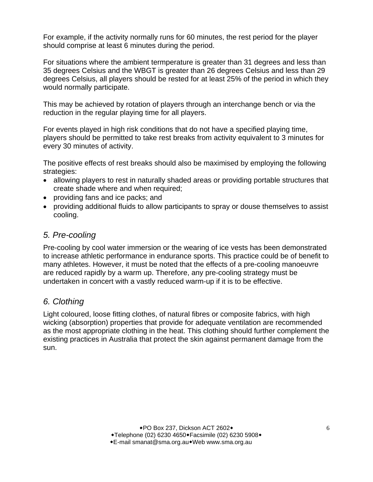For example, if the activity normally runs for 60 minutes, the rest period for the player should comprise at least 6 minutes during the period.

For situations where the ambient termperature is greater than 31 degrees and less than 35 degrees Celsius and the WBGT is greater than 26 degrees Celsius and less than 29 degrees Celsius, all players should be rested for at least 25% of the period in which they would normally participate.

This may be achieved by rotation of players through an interchange bench or via the reduction in the regular playing time for all players.

For events played in high risk conditions that do not have a specified playing time, players should be permitted to take rest breaks from activity equivalent to 3 minutes for every 30 minutes of activity.

The positive effects of rest breaks should also be maximised by employing the following strategies:

- allowing players to rest in naturally shaded areas or providing portable structures that create shade where and when required;
- providing fans and ice packs; and
- providing additional fluids to allow participants to spray or douse themselves to assist cooling.

## *5. Pre-cooling*

Pre-cooling by cool water immersion or the wearing of ice vests has been demonstrated to increase athletic performance in endurance sports. This practice could be of benefit to many athletes. However, it must be noted that the effects of a pre-cooling manoeuvre are reduced rapidly by a warm up. Therefore, any pre-cooling strategy must be undertaken in concert with a vastly reduced warm-up if it is to be effective.

## *6. Clothing*

Light coloured, loose fitting clothes, of natural fibres or composite fabrics, with high wicking (absorption) properties that provide for adequate ventilation are recommended as the most appropriate clothing in the heat. This clothing should further complement the existing practices in Australia that protect the skin against permanent damage from the sun.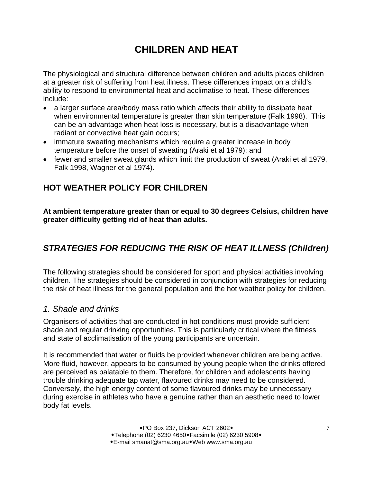## **CHILDREN AND HEAT**

The physiological and structural difference between children and adults places children at a greater risk of suffering from heat illness. These differences impact on a child's ability to respond to environmental heat and acclimatise to heat. These differences include:

- a larger surface area/body mass ratio which affects their ability to dissipate heat when environmental temperature is greater than skin temperature (Falk 1998). This can be an advantage when heat loss is necessary, but is a disadvantage when radiant or convective heat gain occurs;
- immature sweating mechanisms which require a greater increase in body temperature before the onset of sweating (Araki et al 1979); and
- fewer and smaller sweat glands which limit the production of sweat (Araki et al 1979, Falk 1998, Wagner et al 1974).

## **HOT WEATHER POLICY FOR CHILDREN**

**At ambient temperature greater than or equal to 30 degrees Celsius, children have greater difficulty getting rid of heat than adults.** 

## *STRATEGIES FOR REDUCING THE RISK OF HEAT ILLNESS (Children)*

The following strategies should be considered for sport and physical activities involving children. The strategies should be considered in conjunction with strategies for reducing the risk of heat illness for the general population and the hot weather policy for children.

## *1. Shade and drinks*

Organisers of activities that are conducted in hot conditions must provide sufficient shade and regular drinking opportunities. This is particularly critical where the fitness and state of acclimatisation of the young participants are uncertain.

It is recommended that water or fluids be provided whenever children are being active. More fluid, however, appears to be consumed by young people when the drinks offered are perceived as palatable to them. Therefore, for children and adolescents having trouble drinking adequate tap water, flavoured drinks may need to be considered. Conversely, the high energy content of some flavoured drinks may be unnecessary during exercise in athletes who have a genuine rather than an aesthetic need to lower body fat levels.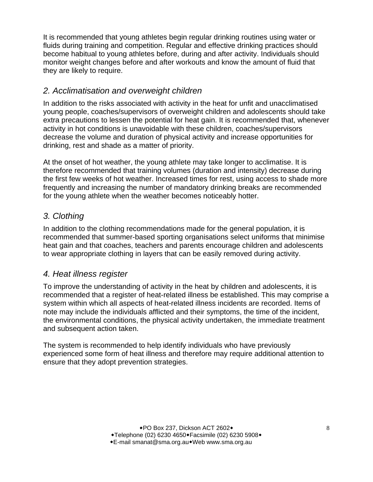It is recommended that young athletes begin regular drinking routines using water or fluids during training and competition. Regular and effective drinking practices should become habitual to young athletes before, during and after activity. Individuals should monitor weight changes before and after workouts and know the amount of fluid that they are likely to require.

## *2. Acclimatisation and overweight children*

In addition to the risks associated with activity in the heat for unfit and unacclimatised young people, coaches/supervisors of overweight children and adolescents should take extra precautions to lessen the potential for heat gain. It is recommended that, whenever activity in hot conditions is unavoidable with these children, coaches/supervisors decrease the volume and duration of physical activity and increase opportunities for drinking, rest and shade as a matter of priority.

At the onset of hot weather, the young athlete may take longer to acclimatise. It is therefore recommended that training volumes (duration and intensity) decrease during the first few weeks of hot weather. Increased times for rest, using access to shade more frequently and increasing the number of mandatory drinking breaks are recommended for the young athlete when the weather becomes noticeably hotter.

## *3. Clothing*

In addition to the clothing recommendations made for the general population, it is recommended that summer-based sporting organisations select uniforms that minimise heat gain and that coaches, teachers and parents encourage children and adolescents to wear appropriate clothing in layers that can be easily removed during activity.

## *4. Heat illness register*

To improve the understanding of activity in the heat by children and adolescents, it is recommended that a register of heat-related illness be established. This may comprise a system within which all aspects of heat-related illness incidents are recorded. Items of note may include the individuals afflicted and their symptoms, the time of the incident, the environmental conditions, the physical activity undertaken, the immediate treatment and subsequent action taken.

The system is recommended to help identify individuals who have previously experienced some form of heat illness and therefore may require additional attention to ensure that they adopt prevention strategies.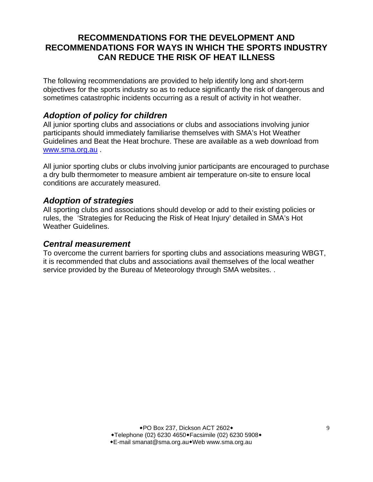## **RECOMMENDATIONS FOR THE DEVELOPMENT AND RECOMMENDATIONS FOR WAYS IN WHICH THE SPORTS INDUSTRY CAN REDUCE THE RISK OF HEAT ILLNESS**

The following recommendations are provided to help identify long and short-term objectives for the sports industry so as to reduce significantly the risk of dangerous and sometimes catastrophic incidents occurring as a result of activity in hot weather.

## *Adoption of policy for children*

All junior sporting clubs and associations or clubs and associations involving junior participants should immediately familiarise themselves with SMA's Hot Weather Guidelines and Beat the Heat brochure. These are available as a web download from www.sma.org.au .

All junior sporting clubs or clubs involving junior participants are encouraged to purchase a dry bulb thermometer to measure ambient air temperature on-site to ensure local conditions are accurately measured.

## *Adoption of strategies*

All sporting clubs and associations should develop or add to their existing policies or rules, the 'Strategies for Reducing the Risk of Heat Injury' detailed in SMA's Hot Weather Guidelines.

### *Central measurement*

To overcome the current barriers for sporting clubs and associations measuring WBGT, it is recommended that clubs and associations avail themselves of the local weather service provided by the Bureau of Meteorology through SMA websites. .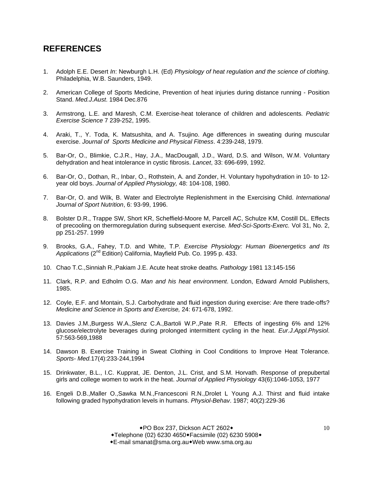## **REFERENCES**

- 1. Adolph E.E. Desert *In*: Newburgh L.H. (Ed) *Physiology of heat regulation and the science of clothing*. Philadelphia, W.B. Saunders, 1949.
- 2. American College of Sports Medicine, Prevention of heat injuries during distance running Position Stand. *Med.J.Aust*. 1984 Dec.876
- 3. Armstrong, L.E. and Maresh, C.M. Exercise-heat tolerance of children and adolescents*. Pediatric Exercise Science* 7 239-252, 1995.
- 4. Araki, T., Y. Toda, K. Matsushita, and A. Tsujino. Age differences in sweating during muscular exercise. *Journal of Sports Medicine and Physical Fitness*. 4:239-248, 1979.
- 5. Bar-Or, O., Blimkie, C.J.R., Hay, J.A., MacDougall, J.D., Ward, D.S. and Wilson, W.M. Voluntary dehydration and heat intolerance in cystic fibrosis. *Lancet*, 33: 696-699, 1992.
- 6. Bar-Or, O., Dothan, R., Inbar, O., Rothstein, A. and Zonder, H. Voluntary hypohydration in 10- to 12 year old boys. *Journal of Applied Physiology,* 48: 104-108, 1980.
- 7. Bar-Or, O. and Wilk, B. Water and Electrolyte Replenishment in the Exercising Child. *International Journal of Sport Nutrition*, 6: 93-99, 1996.
- 8. Bolster D.R., Trappe SW, Short KR, Scheffield-Moore M, Parcell AC, Schulze KM, Costill DL. Effects of precooling on thermoregulation during subsequent exercise*. Med-Sci-Sports-Exerc.* Vol 31, No. 2, pp 251-257. 1999
- 9. Brooks, G.A., Fahey, T.D. and White, T.P*. Exercise Physiology: Human Bioenergetics and Its Applications* (2nd Edition) California, Mayfield Pub. Co. 1995 p. 433.
- 10. Chao T.C.,Sinniah R.,Pakiam J.E. Acute heat stroke deaths*. Pathology* 1981 13:145-156
- 11. Clark, R.P. and Edholm O.G. *Man and his heat environment*. London, Edward Arnold Publishers, 1985.
- 12. Coyle, E.F. and Montain, S.J. Carbohydrate and fluid ingestion during exercise: Are there trade-offs? *Medicine and Science in Sports and Exercise,* 24: 671-678, 1992.
- 13. Davies J.M.,Burgess W.A.,Slenz C.A.,Bartoli W.P.,Pate R.R. Effects of ingesting 6% and 12% glucose/electrolyte beverages during prolonged intermittent cycling in the heat. *Eur.J.Appl.Physiol*. 57:563-569,1988
- 14. Dawson B. Exercise Training in Sweat Clothing in Cool Conditions to Improve Heat Tolerance. *Sports- Med.*17(4):233-244,1994
- 15. Drinkwater, B.L., I.C. Kupprat, JE. Denton, J.L. Crist, and S.M. Horvath. Response of prepubertal girls and college women to work in the heat. *Journal of Applied Physiology* 43(6):1046-1053, 1977
- 16. Engeli D.B.,Maller O.,Sawka M.N.,Francesconi R.N.,Drolet L Young A.J. Thirst and fluid intake following graded hypohydration levels in humans. *Physiol-Behav*. 1987; 40(2):229-36

◆PO Box 237, Dickson ACT 2602◆ +Telephone (02) 6230 4650+Facsimile (02) 6230 5908+ E-mail smanat@sma.org.auWeb www.sma.org.au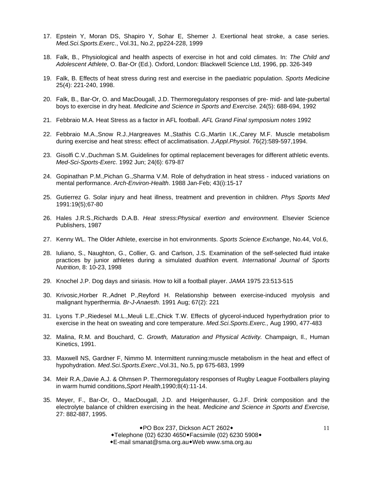- 17. Epstein Y, Moran DS, Shapiro Y, Sohar E, Shemer J. Exertional heat stroke, a case series. *Med.Sci.Sports.Exerc*., Vol.31, No.2, pp224-228, 1999
- 18. Falk, B., Physiological and health aspects of exercise in hot and cold climates. In: *The Child and Adolescent Athlete*, O. Bar-Or (Ed.). Oxford, London: Blackwell Science Ltd, 1996, pp. 326-349
- 19. Falk, B. Effects of heat stress during rest and exercise in the paediatric population. *Sports Medicine* 25(4): 221-240, 1998.
- 20. Falk, B., Bar-Or, O. and MacDougall, J.D. Thermoregulatory responses of pre- mid- and late-pubertal boys to exercise in dry heat. *Medicine and Science in Sports and Exercise.* 24(5): 688-694, 1992
- 21. Febbraio M.A. Heat Stress as a factor in AFL football. *AFL Grand Final symposium notes* 1992
- 22. Febbraio M.A.,Snow R.J.,Hargreaves M.,Stathis C.G.,Martin I.K.,Carey M.F. Muscle metabolism during exercise and heat stress: effect of acclimatisation. *J.Appl.Physiol*. 76(2):589-597,1994.
- 23. Gisolfi C.V.,Duchman S.M. Guidelines for optimal replacement beverages for different athletic events. *Med-Sci-Sports-Exerc*. 1992 Jun; 24(6): 679-87
- 24. Gopinathan P.M.,Pichan G.,Sharma V.M. Role of dehydration in heat stress induced variations on mental performance. *Arch-Environ-Health*. 1988 Jan-Feb; 43(i):15-17
- 25. Gutierrez G. Solar injury and heat illness, treatment and prevention in children. *Phys Sports Med* 1991:19(5);67-80
- 26. Hales J.R.S.,Richards D.A.B. *Heat stress:Physical exertion and environment*. Elsevier Science Publishers, 1987
- 27. Kenny WL. The Older Athlete, exercise in hot environments. *Sports Science Exchange*, No.44, Vol.6,
- 28. Iuliano, S., Naughton, G., Collier, G. and Carlson, J.S. Examination of the self-selected fluid intake practices by junior athletes during a simulated duathlon event. *International Journal of Sports Nutrition*, 8: 10-23, 1998
- 29. Knochel J.P. Dog days and siriasis. How to kill a football player. *JAMA* 1975 23:513-515
- 30. Krivosic,Horber R.,Adnet P.,Reyford H. Relationship between exercise-induced myolysis and malignant hyperthermia*. Br-J-Anaesth*. 1991 Aug; 67(2): 221
- 31. Lyons T.P.,Riedesel M.L.,Meuli L.E.,Chick T.W. Effects of glycerol-induced hyperhydration prior to exercise in the heat on sweating and core temperature. *Med.Sci.Sports.Exerc.,* Aug 1990, 477-483
- 32. Malina, R.M. and Bouchard, C. *Growth, Maturation and Physical Activity.* Champaign, Il., Human Kinetics, 1991.
- 33. Maxwell NS, Gardner F, Nimmo M. Intermittent running:muscle metabolism in the heat and effect of hypohydration. *Med.Sci.Sports.Exerc*.,Vol.31, No.5, pp 675-683, 1999
- 34. Meir R.A.,Davie A.J. & Ohmsen P. Thermoregulatory responses of Rugby League Footballers playing in warm humid conditions,*Sport Health*,1990;8(4):11-14.
- 35. Meyer, F., Bar-Or, O., MacDougall, J.D. and Heigenhauser, G.J.F. Drink composition and the electrolyte balance of children exercising in the heat. *Medicine and Science in Sports and Exercise,* 27: 882-887, 1995.

◆PO Box 237, Dickson ACT 2602◆ ◆Telephone (02) 6230 4650◆Facsimile (02) 6230 5908◆ E-mail smanat@sma.org.auWeb www.sma.org.au